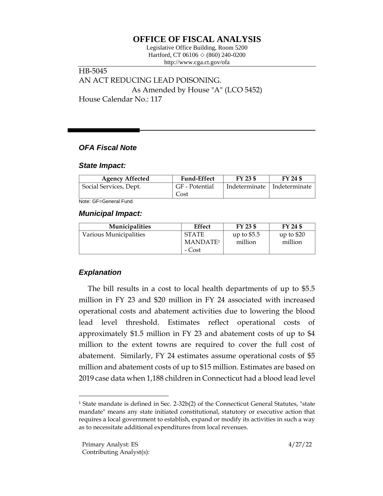# **OFFICE OF FISCAL ANALYSIS**

Legislative Office Building, Room 5200 Hartford, CT 06106  $\Diamond$  (860) 240-0200 http://www.cga.ct.gov/ofa

HB-5045 AN ACT REDUCING LEAD POISONING. As Amended by House "A" (LCO 5452) House Calendar No.: 117

### *OFA Fiscal Note*

#### *State Impact:*

| <b>Agency Affected</b> | <b>Fund-Effect</b>     | FY 23 \$ | FY 24 \$                      |
|------------------------|------------------------|----------|-------------------------------|
| Social Services, Dept. | GF - Potential<br>Cost |          | Indeterminate   Indeterminate |

Note: GF=General Fund

#### *Municipal Impact:*

| <b>Municipalities</b>  | Effect                                         | FY 23 \$                | FY 24 \$               |
|------------------------|------------------------------------------------|-------------------------|------------------------|
| Various Municipalities | <b>STATE</b><br>MANDATE <sup>1</sup><br>- Cost | up to $$5.5$<br>million | up to $$20$<br>million |

## *Explanation*

The bill results in a cost to local health departments of up to \$5.5 million in FY 23 and \$20 million in FY 24 associated with increased operational costs and abatement activities due to lowering the blood lead level threshold. Estimates reflect operational costs of approximately \$1.5 million in FY 23 and abatement costs of up to \$4 million to the extent towns are required to cover the full cost of abatement. Similarly, FY 24 estimates assume operational costs of \$5 million and abatement costs of up to \$15 million. Estimates are based on 2019 case data when 1,188 children in Connecticut had a blood lead level

<sup>1</sup> State mandate is defined in Sec. 2-32b(2) of the Connecticut General Statutes, "state mandate" means any state initiated constitutional, statutory or executive action that requires a local government to establish, expand or modify its activities in such a way as to necessitate additional expenditures from local revenues.